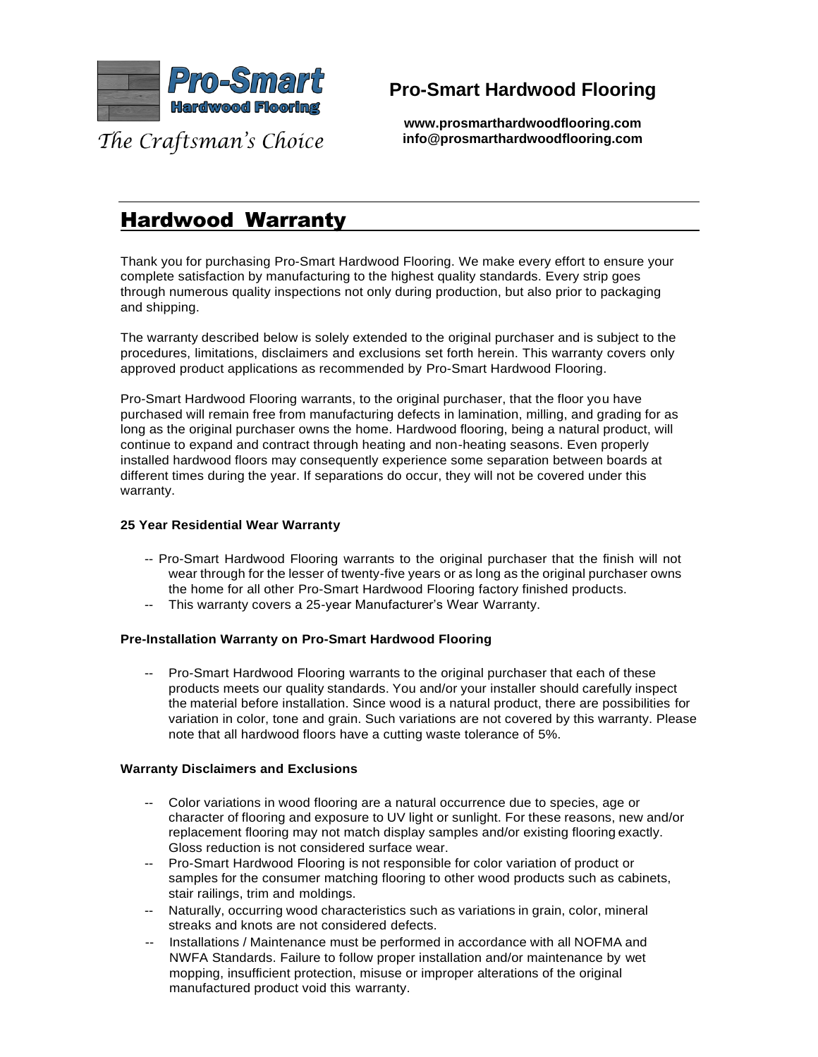

## **Pro-Smart Hardwood Flooring**

The Craftsman's Choice

**www.prosmarthardwoodflooring.com info@prosmarthardwoodflooring.com**

# Hardwood Warranty

Thank you for purchasing Pro-Smart Hardwood Flooring. We make every effort to ensure your complete satisfaction by manufacturing to the highest quality standards. Every strip goes through numerous quality inspections not only during production, but also prior to packaging and shipping.

The warranty described below is solely extended to the original purchaser and is subject to the procedures, limitations, disclaimers and exclusions set forth herein. This warranty covers only approved product applications as recommended by Pro-Smart Hardwood Flooring.

Pro-Smart Hardwood Flooring warrants, to the original purchaser, that the floor you have purchased will remain free from manufacturing defects in lamination, milling, and grading for as long as the original purchaser owns the home. Hardwood flooring, being a natural product, will continue to expand and contract through heating and non-heating seasons. Even properly installed hardwood floors may consequently experience some separation between boards at different times during the year. If separations do occur, they will not be covered under this warranty.

## **25 Year Residential Wear Warranty**

- -- Pro-Smart Hardwood Flooring warrants to the original purchaser that the finish will not wear through for the lesser of twenty-five years or as long as the original purchaser owns the home for all other Pro-Smart Hardwood Flooring factory finished products.
- -- This warranty covers a 25-year Manufacturer's Wear Warranty.

## **Pre-Installation Warranty on Pro-Smart Hardwood Flooring**

-- Pro-Smart Hardwood Flooring warrants to the original purchaser that each of these products meets our quality standards. You and/or your installer should carefully inspect the material before installation. Since wood is a natural product, there are possibilities for variation in color, tone and grain. Such variations are not covered by this warranty. Please note that all hardwood floors have a cutting waste tolerance of 5%.

#### **Warranty Disclaimers and Exclusions**

- -- Color variations in wood flooring are a natural occurrence due to species, age or character of flooring and exposure to UV light or sunlight. For these reasons, new and/or replacement flooring may not match display samples and/or existing flooring exactly. Gloss reduction is not considered surface wear.
- -- Pro-Smart Hardwood Flooring is not responsible for color variation of product or samples for the consumer matching flooring to other wood products such as cabinets, stair railings, trim and moldings.
- -- Naturally, occurring wood characteristics such as variations in grain, color, mineral streaks and knots are not considered defects.
- -- Installations / Maintenance must be performed in accordance with all NOFMA and NWFA Standards. Failure to follow proper installation and/or maintenance by wet mopping, insufficient protection, misuse or improper alterations of the original manufactured product void this warranty.